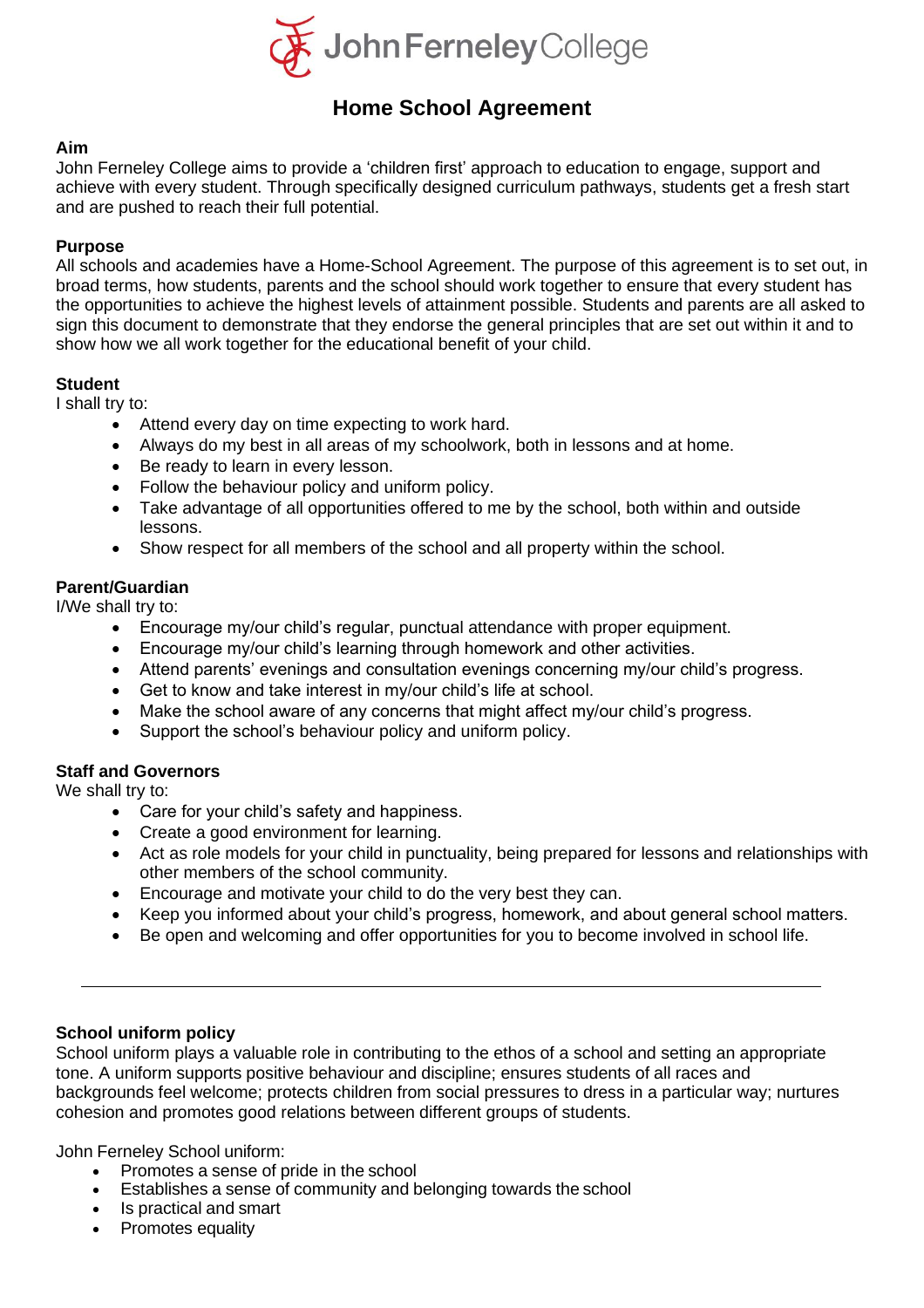

# **Home School Agreement**

# **Aim**

John Ferneley College aims to provide a 'children first' approach to education to engage, support and achieve with every student. Through specifically designed curriculum pathways, students get a fresh start and are pushed to reach their full potential.

# **Purpose**

All schools and academies have a Home-School Agreement. The purpose of this agreement is to set out, in broad terms, how students, parents and the school should work together to ensure that every student has the opportunities to achieve the highest levels of attainment possible. Students and parents are all asked to sign this document to demonstrate that they endorse the general principles that are set out within it and to show how we all work together for the educational benefit of your child.

# **Student**

I shall try to:

- Attend every day on time expecting to work hard.
- Always do my best in all areas of my schoolwork, both in lessons and at home.
- Be ready to learn in every lesson.
- Follow the behaviour policy and uniform policy.
- Take advantage of all opportunities offered to me by the school, both within and outside lessons.
- Show respect for all members of the school and all property within the school.

# **Parent/Guardian**

I/We shall try to:

- Encourage my/our child's regular, punctual attendance with proper equipment.
- Encourage my/our child's learning through homework and other activities.
- Attend parents' evenings and consultation evenings concerning my/our child's progress.
- Get to know and take interest in my/our child's life at school.
- Make the school aware of any concerns that might affect my/our child's progress.
- Support the school's behaviour policy and uniform policy.

# **Staff and Governors**

We shall try to:

- Care for your child's safety and happiness.
- Create a good environment for learning.
- Act as role models for your child in punctuality, being prepared for lessons and relationships with other members of the school community.
- Encourage and motivate your child to do the very best they can.
- Keep you informed about your child's progress, homework, and about general school matters.
- Be open and welcoming and offer opportunities for you to become involved in school life.

# **School uniform policy**

School uniform plays a valuable role in contributing to the ethos of a school and setting an appropriate tone. A uniform supports positive behaviour and discipline; ensures students of all races and backgrounds feel welcome; protects children from social pressures to dress in a particular way; nurtures cohesion and promotes good relations between different groups of students.

John Ferneley School uniform:

- Promotes a sense of pride in the school
- Establishes a sense of community and belonging towards the school
- Is practical and smart
- Promotes equality